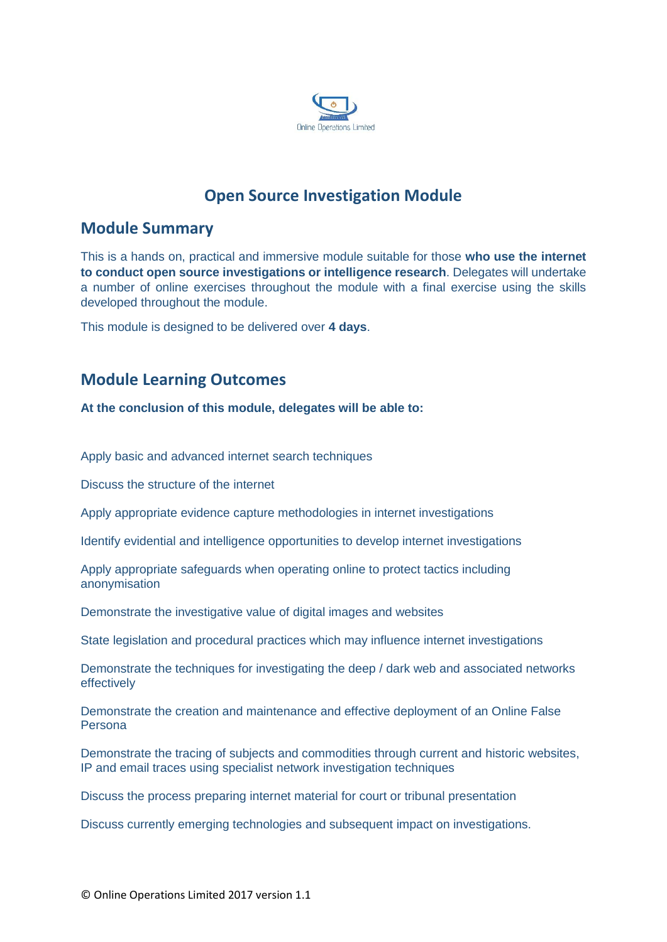

# **Open Source Investigation Module**

## **Module Summary**

This is a hands on, practical and immersive module suitable for those **who use the internet to conduct open source investigations or intelligence research**. Delegates will undertake a number of online exercises throughout the module with a final exercise using the skills developed throughout the module.

This module is designed to be delivered over **4 days**.

## **Module Learning Outcomes**

**At the conclusion of this module, delegates will be able to:**

Apply basic and advanced internet search techniques

Discuss the structure of the internet

Apply appropriate evidence capture methodologies in internet investigations

Identify evidential and intelligence opportunities to develop internet investigations

Apply appropriate safeguards when operating online to protect tactics including anonymisation

Demonstrate the investigative value of digital images and websites

State legislation and procedural practices which may influence internet investigations

Demonstrate the techniques for investigating the deep / dark web and associated networks effectively

Demonstrate the creation and maintenance and effective deployment of an Online False Persona

Demonstrate the tracing of subjects and commodities through current and historic websites, IP and email traces using specialist network investigation techniques

Discuss the process preparing internet material for court or tribunal presentation

Discuss currently emerging technologies and subsequent impact on investigations.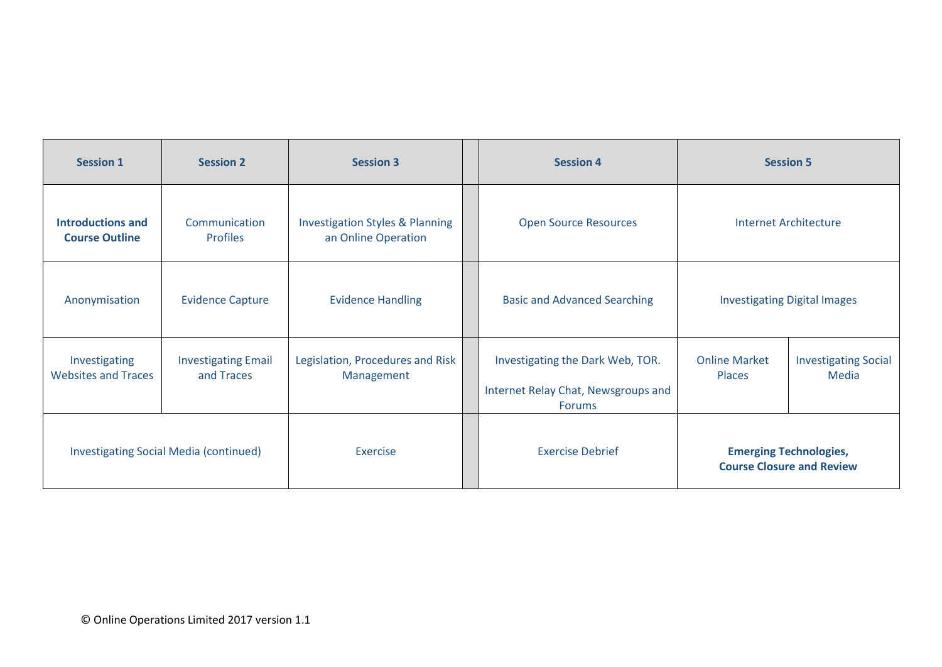| <b>Session 1</b>                                  | <b>Session 2</b>                         | <b>Session 3</b>                                                  | <b>Session 4</b>                                                                         | <b>Session 5</b>                                                  |                                      |
|---------------------------------------------------|------------------------------------------|-------------------------------------------------------------------|------------------------------------------------------------------------------------------|-------------------------------------------------------------------|--------------------------------------|
| <b>Introductions and</b><br><b>Course Outline</b> | Communication<br><b>Profiles</b>         | <b>Investigation Styles &amp; Planning</b><br>an Online Operation | <b>Open Source Resources</b>                                                             | <b>Internet Architecture</b>                                      |                                      |
| Anonymisation                                     | <b>Evidence Capture</b>                  | <b>Evidence Handling</b>                                          | <b>Basic and Advanced Searching</b>                                                      | <b>Investigating Digital Images</b>                               |                                      |
| Investigating<br><b>Websites and Traces</b>       | <b>Investigating Email</b><br>and Traces | Legislation, Procedures and Risk<br>Management                    | Investigating the Dark Web, TOR.<br>Internet Relay Chat, Newsgroups and<br><b>Forums</b> | <b>Online Market</b><br><b>Places</b>                             | <b>Investigating Social</b><br>Media |
| Investigating Social Media (continued)            |                                          | Exercise                                                          | <b>Exercise Debrief</b>                                                                  | <b>Emerging Technologies,</b><br><b>Course Closure and Review</b> |                                      |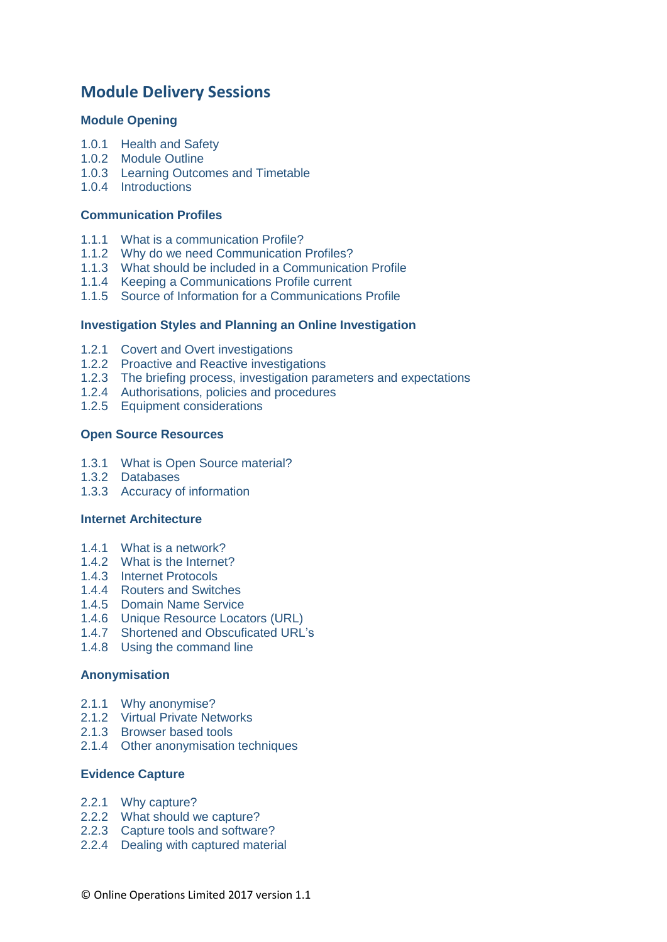## **Module Delivery Sessions**

## **Module Opening**

- 1.0.1 Health and Safety
- 1.0.2 Module Outline
- 1.0.3 Learning Outcomes and Timetable
- 1.0.4 Introductions

#### **Communication Profiles**

- 1.1.1 What is a communication Profile?
- 1.1.2 Why do we need Communication Profiles?
- 1.1.3 What should be included in a Communication Profile
- 1.1.4 Keeping a Communications Profile current
- 1.1.5 Source of Information for a Communications Profile

## **Investigation Styles and Planning an Online Investigation**

- 1.2.1 Covert and Overt investigations
- 1.2.2 Proactive and Reactive investigations
- 1.2.3 The briefing process, investigation parameters and expectations
- 1.2.4 Authorisations, policies and procedures
- 1.2.5 Equipment considerations

#### **Open Source Resources**

- 1.3.1 What is Open Source material?
- 1.3.2 Databases
- 1.3.3 Accuracy of information

#### **Internet Architecture**

- 1.4.1 What is a network?
- 1.4.2 What is the Internet?
- 1.4.3 Internet Protocols
- 1.4.4 Routers and Switches
- 1.4.5 Domain Name Service
- 1.4.6 Unique Resource Locators (URL)
- 1.4.7 Shortened and Obscuficated URL's
- 1.4.8 Using the command line

## **Anonymisation**

- 2.1.1 Why anonymise?
- 2.1.2 Virtual Private Networks
- 2.1.3 Browser based tools
- 2.1.4 Other anonymisation techniques

## **Evidence Capture**

- 2.2.1 Why capture?
- 2.2.2 What should we capture?
- 2.2.3 Capture tools and software?
- 2.2.4 Dealing with captured material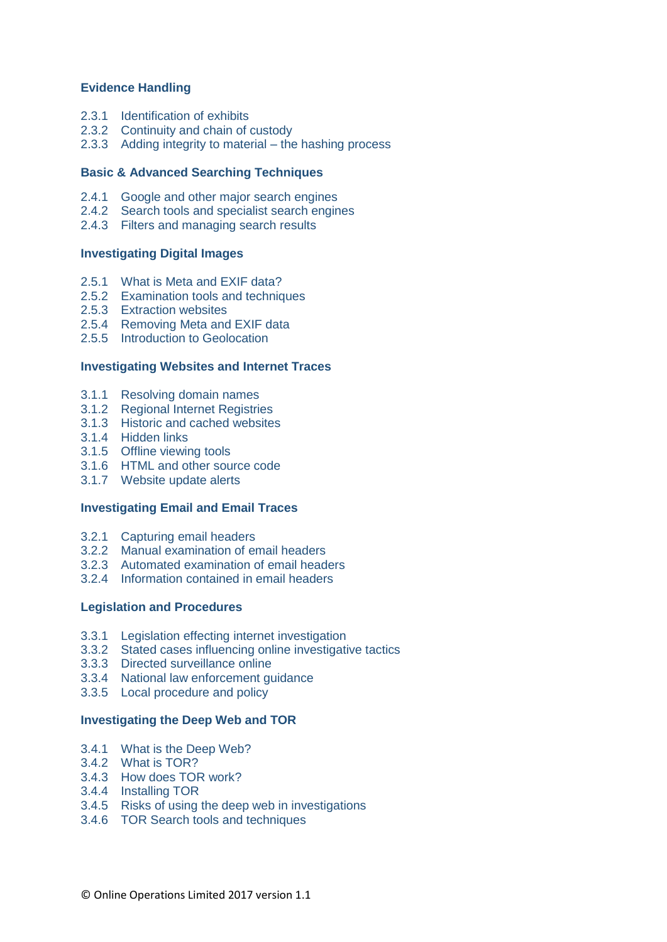## **Evidence Handling**

- 2.3.1 Identification of exhibits
- 2.3.2 Continuity and chain of custody
- 2.3.3 Adding integrity to material the hashing process

#### **Basic & Advanced Searching Techniques**

- 2.4.1 Google and other major search engines
- 2.4.2 Search tools and specialist search engines
- 2.4.3 Filters and managing search results

#### **Investigating Digital Images**

- 2.5.1 What is Meta and EXIF data?
- 2.5.2 Examination tools and techniques
- 2.5.3 Extraction websites
- 2.5.4 Removing Meta and EXIF data
- 2.5.5 Introduction to Geolocation

#### **Investigating Websites and Internet Traces**

- 3.1.1 Resolving domain names
- 3.1.2 Regional Internet Registries
- 3.1.3 Historic and cached websites
- 3.1.4 Hidden links
- 3.1.5 Offline viewing tools
- 3.1.6 HTML and other source code
- 3.1.7 Website update alerts

#### **Investigating Email and Email Traces**

- 3.2.1 Capturing email headers
- 3.2.2 Manual examination of email headers
- 3.2.3 Automated examination of email headers
- 3.2.4 Information contained in email headers

## **Legislation and Procedures**

- 3.3.1 Legislation effecting internet investigation
- 3.3.2 Stated cases influencing online investigative tactics
- 3.3.3 Directed surveillance online
- 3.3.4 National law enforcement guidance
- 3.3.5 Local procedure and policy

## **Investigating the Deep Web and TOR**

- 3.4.1 What is the Deep Web?
- 3.4.2 What is TOR?
- 3.4.3 How does TOR work?
- 3.4.4 Installing TOR
- 3.4.5 Risks of using the deep web in investigations
- 3.4.6 TOR Search tools and techniques